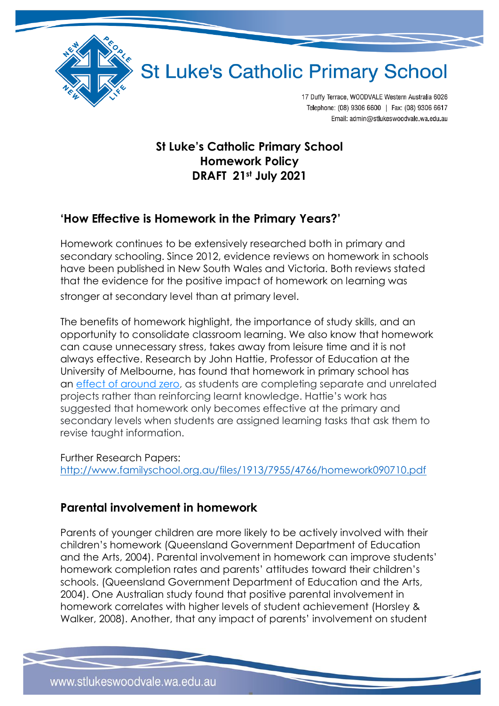

17 Duffy Terrace, WOODVALE Western Australia 6026 Telephone: (08) 9306 6600 | Fax: (08) 9306 6617 Email: admin@stlukeswoodvale.wa.edu.au

### **St Luke's Catholic Primary School Homework Policy DRAFT 21st July 2021**

### **'How Effective is Homework in the Primary Years?'**

Homework continues to be extensively researched both in primary and secondary schooling. Since 2012, evidence reviews on homework in schools have been published in New South Wales and Victoria. Both reviews stated that the evidence for the positive impact of homework on learning was stronger at secondary level than at primary level.

The benefits of homework highlight, the importance of study skills, and an opportunity to consolidate classroom learning. We also know that homework can cause unnecessary stress, takes away from leisure time and it is not always effective. Research by John Hattie, Professor of Education at the University of Melbourne, has found that homework in primary school has an [effect of around](https://visible-learning.org/2014/09/john-hattie-interview-bbc-radio-4/) zero, as students are completing separate and unrelated projects rather than reinforcing learnt knowledge. Hattie's work has suggested that homework only becomes effective at the primary and secondary levels when students are assigned learning tasks that ask them to revise taught information.

Further Research Papers: <http://www.familyschool.org.au/files/1913/7955/4766/homework090710.pdf>

### **Parental involvement in homework**

Parents of younger children are more likely to be actively involved with their children's homework (Queensland Government Department of Education and the Arts, 2004). Parental involvement in homework can improve students' homework completion rates and parents' attitudes toward their children's schools. (Queensland Government Department of Education and the Arts, 2004). One Australian study found that positive parental involvement in homework correlates with higher levels of student achievement (Horsley & Walker, 2008). Another, that any impact of parents' involvement on student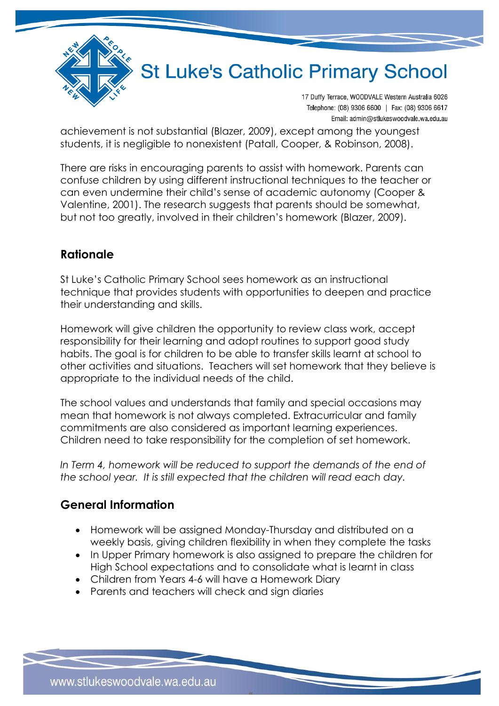

17 Duffy Terrace, WOODVALE Western Australia 6026 Telephone: (08) 9306 6600 | Fax: (08) 9306 6617 Email: admin@stlukeswoodvale.wa.edu.au

achievement is not substantial (Blazer, 2009), except among the youngest students, it is negligible to nonexistent (Patall, Cooper, & Robinson, 2008).

There are risks in encouraging parents to assist with homework. Parents can confuse children by using different instructional techniques to the teacher or can even undermine their child's sense of academic autonomy (Cooper & Valentine, 2001). The research suggests that parents should be somewhat, but not too greatly, involved in their children's homework (Blazer, 2009).

### **Rationale**

St Luke's Catholic Primary School sees homework as an instructional technique that provides students with opportunities to deepen and practice their understanding and skills.

Homework will give children the opportunity to review class work, accept responsibility for their learning and adopt routines to support good study habits. The goal is for children to be able to transfer skills learnt at school to other activities and situations. Teachers will set homework that they believe is appropriate to the individual needs of the child.

The school values and understands that family and special occasions may mean that homework is not always completed. Extracurricular and family commitments are also considered as important learning experiences. Children need to take responsibility for the completion of set homework.

In Term 4, homework will be reduced to support the demands of the end of *the school year. It is still expected that the children will read each day.*

### **General Information**

- Homework will be assigned Monday-Thursday and distributed on a weekly basis, giving children flexibility in when they complete the tasks
- In Upper Primary homework is also assigned to prepare the children for High School expectations and to consolidate what is learnt in class
- Children from Years 4-6 will have a Homework Diary
- Parents and teachers will check and sign diaries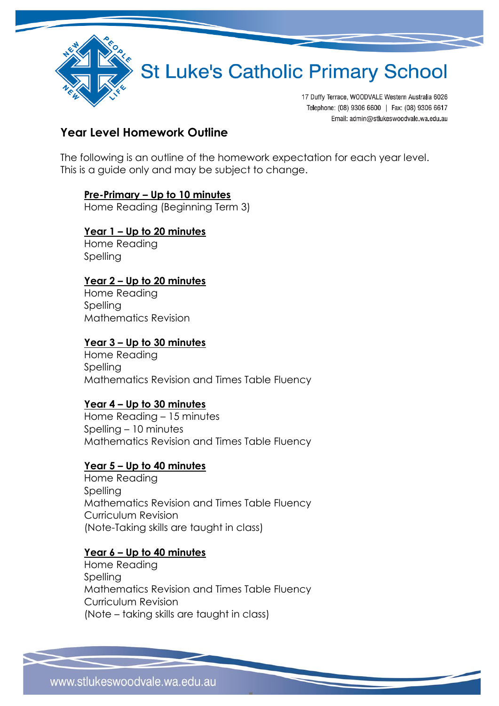

17 Duffy Terrace, WOODVALE Western Australia 6026 Telephone: (08) 9306 6600 | Fax: (08) 9306 6617 Email: admin@stlukeswoodvale.wa.edu.au

### **Year Level Homework Outline**

The following is an outline of the homework expectation for each year level. This is a guide only and may be subject to change.

## **Pre-Primary – Up to 10 minutes**

Home Reading (Beginning Term 3)

#### **Year 1 – Up to 20 minutes** Home Reading

**Spelling** 

### **Year 2 – Up to 20 minutes**

Home Reading Spelling Mathematics Revision

### **Year 3 – Up to 30 minutes**

Home Reading Spelling Mathematics Revision and Times Table Fluency

### **Year 4 – Up to 30 minutes**

Home Reading – 15 minutes Spelling – 10 minutes Mathematics Revision and Times Table Fluency

### **Year 5 – Up to 40 minutes**

Home Reading Spelling Mathematics Revision and Times Table Fluency Curriculum Revision (Note-Taking skills are taught in class)

#### **Year 6 – Up to 40 minutes**

Home Reading Spelling Mathematics Revision and Times Table Fluency Curriculum Revision (Note – taking skills are taught in class)